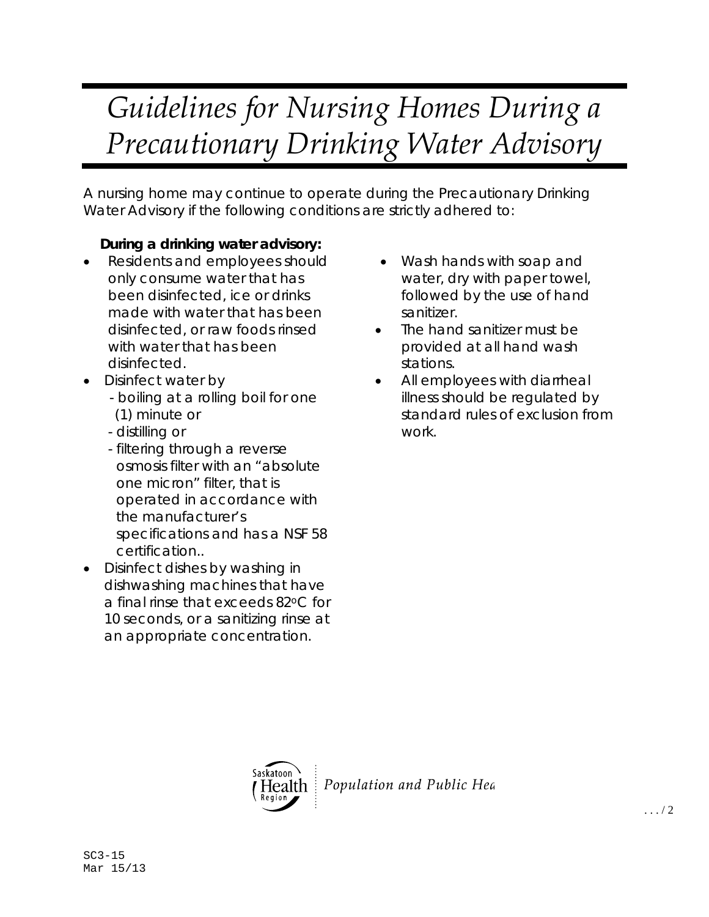## *Guidelines for Nursing Homes During a Precautionary Drinking Water Advisory*

A nursing home may continue to operate during the Precautionary Drinking Water Advisory if the following conditions are strictly adhered to:

## **During a drinking water advisory:**

- Residents and employees should only consume water that has been disinfected, ice or drinks made with water that has been disinfected, or raw foods rinsed with water that has been disinfected.
- Disinfect water by
	- boiling at a rolling boil for one (1) minute or
	- distilling or
	- filtering through a reverse osmosis filter with an "absolute one micron" filter, that is operated in accordance with the manufacturer's specifications and has a NSF 58 certification..
- Disinfect dishes by washing in dishwashing machines that have a final rinse that exceeds 82°C for 10 seconds, or a sanitizing rinse at an appropriate concentration.
- Wash hands with soap and water, dry with paper towel, followed by the use of hand sanitizer.
- The hand sanitizer must be provided at all hand wash stations.
- All employees with diarrheal illness should be regulated by standard rules of exclusion from work.